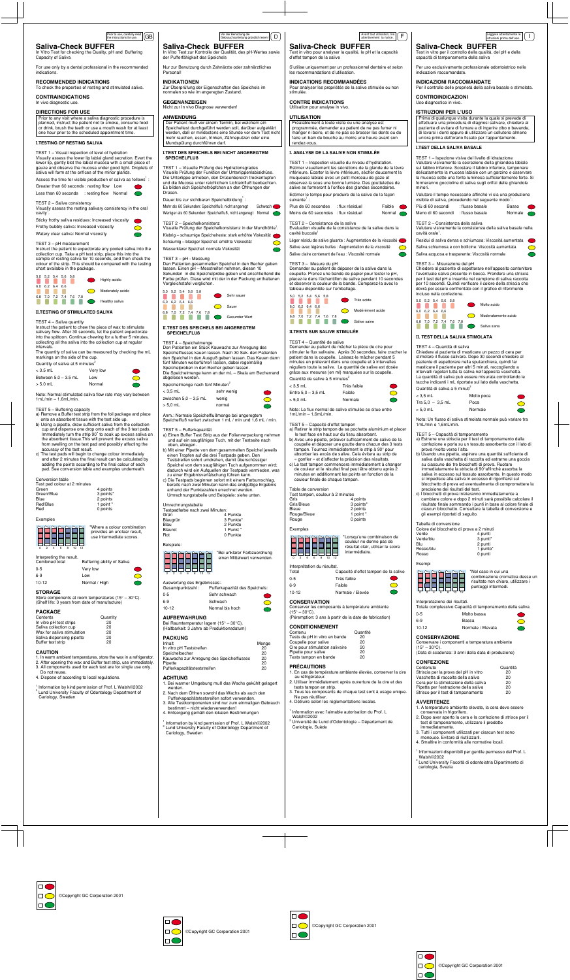**II. TEST DELLA SALIVA STIMOLATA**

TEST 4 – Quantità di saliva

Chiedere al paziente di masticare un pezzo di cera per stimolare il flusso salivare. Dopo 30 secondi chiedere al paziente di espettorare nella sputacchiera, quindi far masticare il paziente per altri 5 minuti, raccogliendo a intervalli regolari tutta la saliva nell'apposita vaschetta. La quantità di saliva può essere misurata controllando le tacche indicanti i mL riportate sul lato della vaschetta.

Quantità di saliva a 5 minuti < 3,5 mL Molto poca  $Tra 5.0 - 3.5 mL$  Poca > 5,0 mL Normale

Nota: Un flusso di saliva stimolata normale può variare tra

1mL/min e 1,6mL/min.

TEST 5 – Capacità di tamponamento

a) Estrarre una striscia per il test di tamponamento dalla confezione e porla su un tessuto assorbente con il lato di

prova rivolto verso l'alto.

b) Usando una pipetta, aspirare una quantità sufficiente di saliva dalla vaschetta di raccolta ed estrarne una goccia su ciascuno dei tre blocchetti di prova. Ruotare immediatamente la striscia di 90°affinché assorba la saliva in eccesso sul tessuto assorbente. In questo modo si impedisce alla saliva in eccesso di rigonfiarsi sul blocchetto di prova ed eventualmente di compromettere la

precisione dei risultati del test.

<sup>2</sup> Lund University Facoltà di odontoiatria Dipartimento di cariologia, Svezia

c) I blocchetti di prova inizieranno immediatamente a cambiare colore e dopo 2 minuti sarà possibile calcolare il risultato finale sommando i punti in base al colore finale di ciascun blocchetto. Consultare la tabella di conversione e

gli esempi riportati di seguito.

Tabella di conversione

Verde/blu

Rosso/blu

Colore del blocchetto di prova a 2 minuti

Blu 2 punti<br>Rosso/blu 1 punto

Rosso 0 punti

TEST 1 – Inspection visuelle du niveau d'hydratation. Estimer visuellement les sécrétions de la glande de la lèvre inférieure. Ecarter la lèvre inférieure, sécher doucement la muqueuse labiale avec un petit morceau de gaze et observez-la sous une bonne lumière. Des gouttelettes de salive se formeront à l'orifice des glandes secondaires. Estimer le temps pour produire de la salive de la façon suivante<sup>1</sup> :

Plus de 60 secondes : flux résiduel Faible Moins de 60 secondes : flux résiduel Normal

Esempi

#### Interpretazione dei risultati.

Totale complessivo Capacità di tamponamento della saliva

| $0 - 5$ | Molto bassa       |  |
|---------|-------------------|--|
| 6-9     | Bassa             |  |
| $10-12$ | Normale / Elevata |  |

## **CONSERVAZIONE**

Conservare i componenti a temperatura ambiente  $(15^{\circ} - 30^{\circ}C)$ . (Data di scadenza: 3 anni dalla data di produzione)

TEST 2 – Consistance de la salive Evaluation visuelle de la consistance de la salive dans la cavité buccale

Léger résidu de salive gluante : Augmentation de la viscosité Salive avec légères bulles : Augmentation de la viscosité  $\bigcirc$ 

## **CONFEZIONE**

| Contenuto                             | Quantità |
|---------------------------------------|----------|
| Striscia per la prova del pH in vitro | 20       |
| Vaschetta di raccolta della saliva    | 20       |
| Cera per la stimolazione della saliva | 20       |
| Pipetta per l'estrazione della saliva | 20       |
| Strisce per il test di tamponamento   | 20       |

## **AVVERTENZE**

- 1. A temperature ambiente elevate, la cera deve essere conservata in frigorifero.
- 2. Dopo aver aperto la cera e la confezione di strisce per il test di tamponamento, utilizzare il prodotto immediatamente.
- 3. Tutti i componenti utilizzati per ciascun test sono monouso. Evitare di riutilizzarli.
- 4. Smaltire in conformità alle normative locali.
- 1 Informazioni disponibili per gentile permesso del Prof. L Walsh©2002

## **Saliva-Check BUFFER**

Test in vitro pour analyser la qualité, le pH et la capacité d'effet tampon de la salive

S'utilise uniquement par un professionnel dentaire et selon

## les recommandations d'utilisation. **INDICATIONS RECOMMANDÉES** Pour analyser les propriétés de la salive stimulée ou non

stimulée.

**CONTRE INDICATIONS** Utilisation pour analyse in vivo.

#### **UTILISATION**

Préalablement à toute visite ou une analyse est programmée, demander au patient de ne pas fumer ni manger ni boire, et de ne pas se brosser les dents ou de faire un bain de bouche au moins une heure avant son rendez-vous.

#### **I. ANALYSE DE LA SALIVE NON STIMULÉE**

#### Umrechnungstabelle Testpadfarbe nach zwei Minuten:<br>Grün 4 4 Punkte<br>3 Punkte Blaugrün<br>Blau Blau 2 Punkte<br>Blaurot 1 Punkt \* Blaurot 1 Punkt<br>Rot 1 Punkte 0 Punkte

#### Auswertung des Ergebnis<br>Gesamtpunktzahl : P Pufferkapazität des Speichels: 0-5 Sehr schwach 6-9 Schwach  $\bigcirc$ 10-12 Normal bis hoch

1 Information by kind permission of Prof. L Walsh©2002 <sup>2</sup> Lund University Faculty of Odontology Department of

Salive claire contenant de l'eau : Viscosité normale

#### TEST 3 – Mesure du pH Demander au patient de déposer de la salive dans la coupelle. Prenez une bande de papier pour tester le pH, placez-le dans l'échantillon de salive pendant 10 secondes et observer la couleur de la bande. Comparez-la avec le tableau disponible sur l'emballage.

## **Saliva-Check BUFFER**

In Vitro Test zur Kontrolle der Qualität, des pH-Wertes sowie der Pufferfähigkeit des Speichels

Nur zur Benutzung durch Zahnärzte oder zahnärztliches Personal!

## **INDIKATIONEN**

Zur Überprüfung der Eigenschaften des Speichels im normalen so wie im angeregten Zustand.

**GEGENANZEIGEN** Nicht zur In vivo Diagnose verwenden!

#### **ANWENDUNG**

Der Patient muß vor einem Termin, bei welchem ein Speicheltest durchgeführt werden soll, darüber aufgeklärt werden, daß er mindestens eine Stunde vor dem Test nicht mehr rauchen, essen, trinken, Zähneputzen oder eine Mundspülung durchführen darf.

#### **I.TEST DES SPEICHELS BEI NICHT ANGEREGTEM SPEICHELFLUß**

TEST 1 – Visuelle Prüfung des Hydrationsgrades Visuelle Prüfung der Funktion der Unterlippenlabialdrüse. Die Unterlippe anheben, den Drüsenbereich trockentupfen und die Mucosa unter reichlichem Lichteinfluß beobachten. Es bilden sich Speicheltröpfchen an den Öffnungen der Drüsen.

#### Dauer bis zur sichtbaren Speichelbildung $<sup>1</sup>$ :</sup>

Mehr als 60 Sekunden: Speichelfluß, nicht angeregt Schwach Weniger als 60 Sekunden: Speichelfluß, nicht angeregt Normal

#### TEST 2 – Speichelkonsistenz

Visuelle Prüfung der Speichelkonsistenz in der Mundhöhle<sup>1</sup>. Klebrig – schaumige Speichelreste: stark erhöhte Viskosität Schaumig – blasiger Speichel: erhöhte Viskosität  $\bigcirc$ 

Wasserklarer Speichel: normale Viskosität

## TEST 3 – pH - Messung

Den Patienten gesammelten Speichel in den Becher geben lassen. Einen pH – Messtreifen nehmen, diesen 10 Sekunden in die Speichelprobe geben und anschließend die Farbe prüfen. Diese wird mit der in der Packung enthaltenen Vergleichstafel verglichen.

### **II.TEST DES SPEICHELS BEI ANGEREGTEM SPEICHELFLUß**

## TEST 4 – Speichelmenge

Den Patienten ein Stück Kauwachs zur Anregung des Speichelflusses kauen lassen. Nach 30 Sek. den Patienten den Speichel in den Ausguß geben lassen. Das Kauen dann fünf Minuten weiterführen lassen, dabei regelmäßig Speichelproben in den Becher geben lassen.

> 1 Information avec l'aimable autorisation du Prof. L Walsh©2002

Die Speichelmenge kann an der mL – Skala am Becherrand abgelesen werden.

| Speichelmenge nach fünf Minuten |            |
|---------------------------------|------------|
| < 3.5 mL                        | sehr wenig |

| zwischen 5.0 – 3.5 mL | wenig  |            |
|-----------------------|--------|------------|
| $> 5.0$ mL            | normal | $\bigcirc$ |

Anm.: Normale Speichelflußmenge bei angeregtem Speichelfluß variiert zwischen 1 mL / min und 1,6 mL / min.

TEST 1 – Visual inspection of level of hydration Visually assess the lower lip labial gland secretion. Evert the lower lip, gently blot the labial mucosa with a small piece of gauze and observe the mucosa under good light. Droplets of saliva will form at the orifices of the minor glands.

Assess the time for visible production of saliva as follows $^{\prime}$  : Greater than 60 seconds : resting flow Low Less than 60 seconds : resting flow Normal

TEST 5 – Pufferkapazität

- a) Einen Buffer Test Strip aus der Folienverpackung nehmen und auf ein saugfähiges Tuch, mit der Testseite nach oben, ablegen.
- b) Mit einer Pipette von dem gesammelten Speichel jeweils einen Tropfen auf die drei Testpads geben. Den Teststreifen sofort umdrehen, damit überschüssiger
- Speichel von dem saugfähigen Tuch aufgenommen wird; dadurch wird ein Aufquellen der Testpads vermieden, was zu einer Ergebnisverfälschung führen kann.
- c) Die Testpads beginnen sofort mit einem Farbumschlag, bereits nach zwei Minuten kann das endgültige Ergebnis anhand der Punktezahlen errechnet werden. Umrechnungstabelle und Beispiele: siehe unten.

Quantity of saliva at 5 minutes<sup>2</sup> < 3.5 mL Very low

Between  $5.0 - 3.5$  mL Low > 5.0 mL Normal

## Beispiele:

## **AUFBEWAHRUNG**

Bei Raumtemperatur lagern (15° – 30°C). (Haltbarkeit: 3 Jahre ab Produktionsdatum)

## **PACKUNG**

| Inhalt                                    | Menge |
|-------------------------------------------|-------|
| In vitro pH Teststreifen                  | 20    |
| Speichelbecher                            | 20    |
| Kauwachs zur Anregung des Speichelflusses | 20    |
| Pipette                                   | 20    |
| Pufferkapazitätsteststreifen              | 20    |

## **ACHTUNG**

1. Bei warmer Umgebung muß das Wachs gekühlt gelagert werden.

Store components at room temperatures  $(15^{\circ} - 30^{\circ} \text{C}).$ (Shelf life: 3 years from date of manufacture)

- 2. Nach dem Öffnen sowohl das Wachs als auch den Pufferkapazitätstestsreifen sofort verwenden.
- 3. Alle Testkomponenten sind nur zum einmaligen Gebrauch bestimmt – nicht wiederverwenden!
- 4. Entsorgung gemäß den lokalen Bestimmungen

Cariology, Sweden

Avant tout utilisation, lire attentivement la notice.

**Saliva-Check BUFFER** 

Test in vitro per il controllo della qualità, del pH e della

capacità di tamponamento della saliva

Per uso esclusivamente professionale odontoiatrico nelle

indicazioni raccomandate.

**INDICAZIONI RACCOMANDATE** 

Per il controllo delle proprietà della saliva basale e stimolata.

**CONTROINDICAZIONI** Uso diagnostico in vivo. **ISTRUZIONI PER L'USO**

Prima di qualunque visita durante la quale si prevede di effettuare una procedura di diagnosi salivare, chiedere al paziente di evitare di fumare e di ingerire cibo o bevande, di lavarsi i denti oppure di utilizzare un collutorio almeno un'ora prima dell'orario fissato per l'appuntamento.

**I.TEST DELLA SALIVA BASALE**

TEST 1 – Ispezione visiva del livello di idratazione Valutare visivamente la secrezione della ghiandola labiale sul labbro inferiore. Scostare il labbro inferiore, tamponare delicatamente la mucosa labiale con un garzino e osservare la mucosa sotto una fonte luminosa sufficientemente forte. Si formeranno goccioline di saliva sugli orifizi delle ghiandole

minori.

cavità orale<sup>1</sup>

Valutare il tempo necessario affinché vi sia una produzione visibile di saliva, procedendo nel seguente modo<sup>1</sup>: Più di 60 secondi : flusso basale Basso Meno di 60 secondi : flusso basale Normale

TEST 2 – Consistenza della saliva

Valutare visivamente la consistenza della saliva basale nella

.

Residui di saliva densa e schiumosa: Viscosità aumentata Saliva schiumosa e con bollicine: Viscosità aumentata Saliva acquosa e trasparente: Viscosità normale

TEST 3 – Misurazione del pH

Chiedere al paziente di espettorare nell'apposito contenitore l'eventuale saliva presente in bocca. Prendere una striscia per il test del pH e inserirla nel campione di saliva raccolta per 10 secondi. Quindi verificare il colore della striscia che dovrà poi essere confrontato con il grafico di riferimento

incluso nella confezione.

#### **II.TESTS SUR SALIVE STIMULÉE**

#### TEST 4 – Quantité de salive

٠

Demander au patient de mâcher la pièce de cire pour stimuler le flux salivaire. Après 30 secondes, faire cracher le patient dans la coupelle. Laissez-le mâcher pendant 5 minutes en prélevant dans une coupelle et à intervalles réguliers toute la salive. La quantité de salive est dosée grâce aux mesures (en ml) marquées sur la coupelle.

| Très faible |  |
|-------------|--|
| Faible      |  |
| Normale     |  |
|             |  |

Note: Le flux normal de salive stimulée se situe entre 1mL/min – 1,6mL/min.

## TEST 5 – Capacité d'effet tampon

- a) Retirer le strip tampon de sa pochette aluminium et placer le test face en haut sur du tissu absorbant.
- b) Avec une pipette, prélever suffisamment de salive de la coupelle et déposer une goutte dans chacun des 3 tests tampon. Tournez immédiatement le strip à 90° pour absorber les excès de salive. Cela évitera au strip de
- « gonfler » et d'affecter la précision des résultats. c) Le test tampon commencera immédiatement à changer de couleur et le résultat final peut être obtenu après 2 minutes en additionnant les points en fonction de la
- couleur finale de chaque tampon.

## Table de conversion

| Test tampon, couleur à 2 minutes |           |
|----------------------------------|-----------|
| Gris                             | 4 points  |
| Gris/Bleue                       | 3 points* |
| Bleue                            | 2 points  |
| Rouge/Bleue                      | 1 point * |
| Rouge                            | 0 points  |
|                                  |           |

E

## Exemples



Interprétation du résultat.<br>Total

0-5 Très faible

#### 6-9 Faible 10-12 Normale / Elevée

### **CONSERVATION**

Conserver les composants à température ambiante  $(15^{\circ} - 30^{\circ}C)$ . (Péremption: 3 ans à partir de la date de fabrication)

## **CONDITIONNEMENT**

| Contenu                         | Quantité |
|---------------------------------|----------|
| Tests de pH in vitro en bande   | 20       |
| Coupelle pour salive            | 20       |
| Cire pour stimulation salivaire | 20       |
| Pipette pour salive             | 20       |
| Tests tampon en bande           | 20       |

## **PRÉCAUTIONS**

- 1. En cas de température ambiante élevée, conserver la cire au réfrigérateur.
- 2. Utiliser immédiatement après ouverture de la cire et des tests tampon en strip.
- 3. Tous les composants de chaque test sont à usage unique. Ne pas réutiliser.
- 4. Détruire selon les réglementations locales.

 Université de Lund d'Odontologie – Département de Cariologie, Suède

Prior to use, carefully read  $\boxed{\text{GB}}$ 

## **Saliva-Check BUFFER**

In Vitro Test for checking the Quality, pH and Buffering Capacity of Saliva

For use only by a dental professional in the recommended indications.

**RECOMMENDED INDICATIONS**

To check the properties of resting and stimulated saliva. **CONTRAINDICATIONS**

#### In vivo diagnostic use.

## **DIRECTIONS FOR USE**

Prior to any visit where a saliva diagnostic procedure is planned, instruct the patient not to smoke, consume food or drink, brush the teeth or use a mouth wash for at least one hour prior to the scheduled appointment time.

#### **I.TESTING OF RESTING SALIVA**

TEST 2 – Saliva consistency

Visually assess the resting salivary consistency in the oral  $cavity<sup>1</sup>$ . Sticky frothy saliva residues: Increased viscosity

Frothy bubbly saliva: Increased viscosity  $\bigcap$ Watery clear saliva: Normal viscosity

#### TEST 3 – pH measurement

Instruct the patient to expectorate any pooled saliva into the collection cup. Take a pH test strip, place this into the sample of resting saliva for 10 seconds, and then check the colour of the strip. This should be compared with the testing chart available in the package.

## **II.TESTING OF STIMULATED SALIVA**

## TEST 4 – Saliva quantity

Instruct the patient to chew the piece of wax to stimulate salivary flow. After 30 seconds, let the patient expectorate into the spittoon. Continue chewing for a further 5 minutes, collecting all the saliva into the collection cup at regular intervals.

The quantity of saliva can be measured by checking the mL markings on the side of the cup.

Note: Normal stimulated saliva flow rate may vary between 1mL/min – 1.6mL/min.

TEST 5 – Buffering capacity

- a) Remove a Buffer test strip from the foil package and place onto an absorbent tissue with the test side up.
- b) Using a pipette, draw sufficient saliva from the collection cup and dispense one drop onto each of the 3 test pads. Immediately turn the strip 90**°**to soak up excess saliva on the absorbent tissue.This will prevent the excess saliva from swelling on the test pad and possibly affecting the accuracy of the test result.
- c) The test pads will begin to change colour immediately and after 2 minutes the final result can be calculated by adding the points according to the final colour of each pad. See conversion table and examples underneath.

4 points 3 points\* 2 points 1 point 0 points

## Conversion table

| Test pad colour at 2 minutes |
|------------------------------|
| Green                        |
| Green/Blue                   |
| Blue                         |
| Red/Blue                     |
| Red                          |

Examples



| Combined total | <b>Buffering abilit</b> |
|----------------|-------------------------|
| $0 - 5$        | Very low                |
| $6-9$          | Low                     |
| 10.10          | Navaral / Histori       |

## Profouse.careluly read  $\begin{bmatrix} GBJ \end{bmatrix}$  is the instruction of the instruction of the instructions of the instruction of the instruction of the instruction of the instruction of the instruction of the instruction of the ist



#### **STORAGE**

## **PACKAGE**

| Contents                   | Quantity |
|----------------------------|----------|
| In vitro pH test strips    | 20       |
| Saliva collection cup      | 20       |
| Wax for saliva stimulation | 20       |
| Saliva dispensing pipette  | 20       |
| Buffer test strip          | 20       |

## **CAUTION**

1. In warm ambient temperatures, store the wax in a refrigerator.

## Interpreting the result. ty of Saliva 0 2 4 6 8 10 12 use intermediate scores.

- 2. After opening the wax and Buffer test strip, use immediately. 3. All components used for each test are for single use only.
- Do not reuse.
- 4. Dispose of according to local regulations.

1 Information by kind permission of Prof. L Walsh©2002 <sup>2</sup> Lund University Faculty of Odontology Department of Cariology, Sweden



\*Where a colour combination provides an unclear result,

 $\bigcirc$ 

 $\bigcirc$ 



\*Lorsqu'une combinaison de couleur ne donne pas de résultat clair, utiliser le score intermédiaire.

Capacité d'effet tampon de la salive



<u> EN PARE</u>

\*Nel caso in cui una

combinazione cromatica desse un

risultato non chiaro, utilizzare i punteggi intermedi.

4 punti<br>3 punti<sup>\*</sup>



5,0 5,2 5,4 5,6 5,8 Très acide 6,0 6,2 6,4 6,6  $\bigcirc$ Modérément acide 6,8 7,0 7,2 7,4 7,6 7,8

Salive saine

## Quantité de salive à 5 minutes<sup>2</sup>

5,0 5,2 5,4 5,6 5,8 6,0 6,2 6,4 6,6 6,8 7,0 7,2 7,4 7,6 7,8

Molto acido

Moderatamente acido

 $\bigcirc$ 

Saliva sana